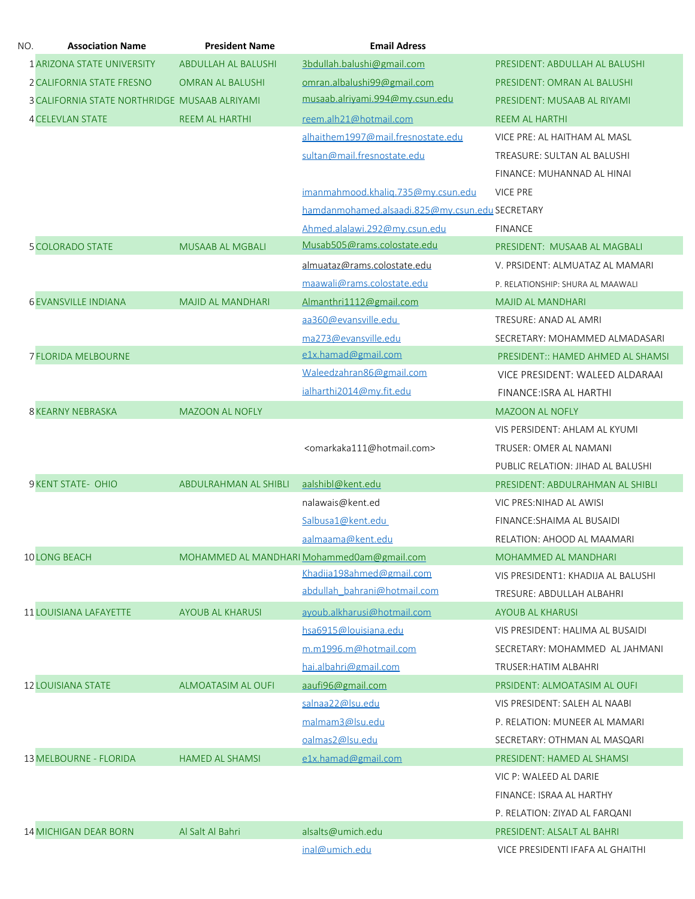| NO. | <b>Association Name</b>                       | <b>President Name</b>      | <b>Email Adress</b>                                 |                                    |
|-----|-----------------------------------------------|----------------------------|-----------------------------------------------------|------------------------------------|
|     | 1 ARIZONA STATE UNIVERSITY                    | <b>ABDULLAH AL BALUSHI</b> | 3bdullah.balushi@gmail.com                          | PRESIDENT: ABDULLAH AL BALUSHI     |
|     | 2 CALIFORNIA STATE FRESNO                     | <b>OMRAN AL BALUSHI</b>    | omran.albalushi99@gmail.com                         | PRESIDENT: OMRAN AL BALUSHI        |
|     | 3 CALIFORNIA STATE NORTHRIDGE MUSAAB ALRIYAMI |                            | musaab.alriyami.994@my.csun.edu                     | PRESIDENT: MUSAAB AL RIYAMI        |
|     | <b>4 CELEVLAN STATE</b>                       | REEM AL HARTHI             | reem.alh21@hotmail.com                              | <b>REEM AL HARTHI</b>              |
|     |                                               |                            | alhaithem1997@mail.fresnostate.edu                  | VICE PRE: AL HAITHAM AL MASL       |
|     |                                               |                            | sultan@mail.fresnostate.edu                         | TREASURE: SULTAN AL BALUSHI        |
|     |                                               |                            |                                                     | FINANCE: MUHANNAD AL HINAI         |
|     |                                               |                            | imanmahmood.khalig.735@my.csun.edu                  | VICE PRE                           |
|     |                                               |                            | hamdanmohamed.alsaadi.825@my.csun.edu SECRETARY     |                                    |
|     |                                               |                            | Ahmed.alalawi.292@my.csun.edu                       | <b>FINANCE</b>                     |
|     | <b>5 COLORADO STATE</b>                       | <b>MUSAAB AL MGBALI</b>    | Musab505@rams.colostate.edu                         | PRESIDENT: MUSAAB AL MAGBALI       |
|     |                                               |                            | almuataz@rams.colostate.edu                         | V. PRSIDENT: ALMUATAZ AL MAMARI    |
|     |                                               |                            | maawali@rams.colostate.edu                          | P. RELATIONSHIP: SHURA AL MAAWALI  |
|     | <b>6 EVANSVILLE INDIANA</b>                   | <b>MAJID AL MANDHARI</b>   | Almanthri1112@gmail.com                             | <b>MAJID AL MANDHARI</b>           |
|     |                                               |                            | aa360@evansville.edu                                | TRESURE: ANAD AL AMRI              |
|     |                                               |                            | ma273@evansville.edu                                | SECRETARY: MOHAMMED ALMADASARI     |
|     | <b>7 FLORIDA MELBOURNE</b>                    |                            | e1x.hamad@gmail.com                                 | PRESIDENT:: HAMED AHMED AL SHAMSI  |
|     |                                               |                            | Waleedzahran86@gmail.com                            | VICE PRESIDENT: WALEED ALDARAAI    |
|     |                                               |                            | ialharthi2014@my.fit.edu                            | FINANCE: ISRA AL HARTHI            |
|     | <b>8 KEARNY NEBRASKA</b>                      | <b>MAZOON AL NOFLY</b>     |                                                     | <b>MAZOON AL NOFLY</b>             |
|     |                                               |                            |                                                     | VIS PERSIDENT: AHLAM AL KYUMI      |
|     |                                               |                            | <omarkaka111@hotmail.com></omarkaka111@hotmail.com> | TRUSER: OMER AL NAMANI             |
|     |                                               |                            |                                                     | PUBLIC RELATION: JIHAD AL BALUSHI  |
|     | 9 KENT STATE- OHIO                            | ABDULRAHMAN AL SHIBLI      | aalshibl@kent.edu                                   | PRESIDENT: ABDULRAHMAN AL SHIBLI   |
|     |                                               |                            | nalawais@kent.ed                                    | VIC PRES: NIHAD AL AWISI           |
|     |                                               |                            | Salbusa1@kent.edu                                   | FINANCE: SHAIMA AL BUSAIDI         |
|     |                                               |                            | aalmaama@kent.edu                                   | RELATION: AHOOD AL MAAMARI         |
|     | <b>10 LONG BEACH</b>                          |                            | MOHAMMED AL MANDHARI Mohammed0am@gmail.com          | <b>MOHAMMED AL MANDHARI</b>        |
|     |                                               |                            | Khadija198ahmed@gmail.com                           | VIS PRESIDENT1: KHADIJA AL BALUSHI |
|     |                                               |                            | abdullah bahrani@hotmail.com                        | TRESURE: ABDULLAH ALBAHRI          |
|     | <b>11 LOUISIANA LAFAYETTE</b>                 | <b>AYOUB AL KHARUSI</b>    | ayoub.alkharusi@hotmail.com                         | <b>AYOUB AL KHARUSI</b>            |
|     |                                               |                            | hsa6915@louisiana.edu                               | VIS PRESIDENT: HALIMA AL BUSAIDI   |
|     |                                               |                            | m.m1996.m@hotmail.com                               | SECRETARY: MOHAMMED AL JAHMANI     |
|     |                                               |                            | hai.albahri@gmail.com                               | <b>TRUSER: HATIM ALBAHRI</b>       |
|     | <b>12 LOUISIANA STATE</b>                     | <b>ALMOATASIM AL OUFI</b>  | aaufi96@gmail.com                                   | PRSIDENT: ALMOATASIM AL OUFI       |
|     |                                               |                            | salnaa22@lsu.edu                                    | VIS PRESIDENT: SALEH AL NAABI      |
|     |                                               |                            | malmam3@lsu.edu                                     | P. RELATION: MUNEER AL MAMARI      |
|     |                                               |                            | oalmas2@lsu.edu                                     | SECRETARY: OTHMAN AL MASQARI       |
|     | <b>13 MELBOURNE - FLORIDA</b>                 | <b>HAMED AL SHAMSI</b>     | e1x.hamad@gmail.com                                 | PRESIDENT: HAMED AL SHAMSI         |
|     |                                               |                            |                                                     | VIC P: WALEED AL DARIE             |
|     |                                               |                            |                                                     | FINANCE: ISRAA AL HARTHY           |
|     |                                               |                            |                                                     | P. RELATION: ZIYAD AL FARQANI      |
|     | <b>14 MICHIGAN DEAR BORN</b>                  | Al Salt Al Bahri           | alsalts@umich.edu                                   | PRESIDENT: ALSALT AL BAHRI         |
|     |                                               |                            | inal@umich.edu                                      | VICE PRESIDENTI IFAFA AL GHAITHI   |
|     |                                               |                            |                                                     |                                    |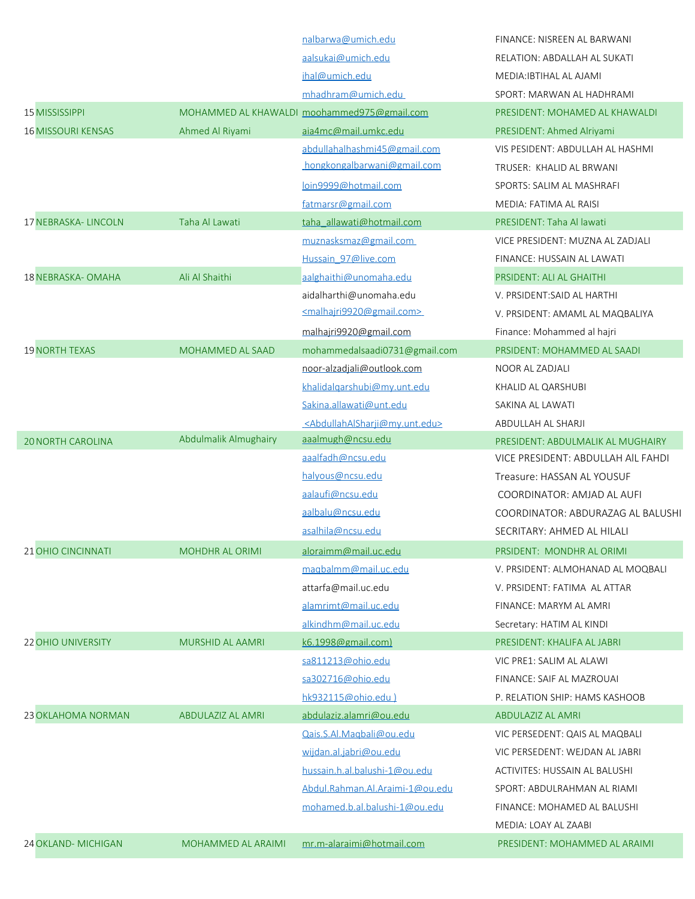|                           |                          | nalbarwa@umich.edu                                          | FINANCE: NISREEN AL BARWANI        |
|---------------------------|--------------------------|-------------------------------------------------------------|------------------------------------|
|                           |                          | aalsukai@umich.edu                                          | RELATION: ABDALLAH AL SUKATI       |
|                           |                          | ihal@umich.edu                                              | MEDIA: IBTIHAL AL AJAMI            |
|                           |                          | mhadhram@umich.edu                                          | SPORT: MARWAN AL HADHRAMI          |
| <b>15 MISSISSIPPI</b>     |                          | MOHAMMED AL KHAWALDI moohammed975@gmail.com                 | PRESIDENT: MOHAMED AL KHAWALDI     |
| <b>16 MISSOURI KENSAS</b> | Ahmed Al Riyami          | aia4mc@mail.umkc.edu                                        | PRESIDENT: Ahmed Alriyami          |
|                           |                          | abdullahalhashmi45@gmail.com                                | VIS PESIDENT: ABDULLAH AL HASHMI   |
|                           |                          | hongkongalbarwani@gmail.com                                 | TRUSER: KHALID AL BRWANI           |
|                           |                          | loin9999@hotmail.com                                        | SPORTS: SALIM AL MASHRAFI          |
|                           |                          | fatmarsr@gmail.com                                          | MEDIA: FATIMA AL RAISI             |
| 17 NEBRASKA- LINCOLN      | Taha Al Lawati           | taha allawati@hotmail.com                                   | PRESIDENT: Taha Al lawati          |
|                           |                          | muznasksmaz@gmail.com                                       | VICE PRESIDENT: MUZNA AL ZADJALI   |
|                           |                          | Hussain 97@live.com                                         | FINANCE: HUSSAIN AL LAWATI         |
| 18 NEBRASKA- OMAHA        | Ali Al Shaithi           | aalghaithi@unomaha.edu                                      | PRSIDENT: ALI AL GHAITHI           |
|                           |                          | aidalharthi@unomaha.edu                                     | V. PRSIDENT: SAID AL HARTHI        |
|                           |                          | <malhajri9920@gmail.com></malhajri9920@gmail.com>           | V. PRSIDENT: AMAML AL MAQBALIYA    |
|                           |                          | malhajri9920@gmail.com                                      | Finance: Mohammed al hajri         |
| <b>19 NORTH TEXAS</b>     | <b>MOHAMMED AL SAAD</b>  | mohammedalsaadi0731@gmail.com                               | PRSIDENT: MOHAMMED AL SAADI        |
|                           |                          | noor-alzadjali@outlook.com                                  | NOOR AL ZADJALI                    |
|                           |                          | khalidalgarshubi@my.unt.edu                                 | KHALID AL QARSHUBI                 |
|                           |                          | Sakina.allawati@unt.edu                                     | SAKINA AL LAWATI                   |
|                           |                          | <abdullahalsharji@my.unt.edu></abdullahalsharji@my.unt.edu> | ABDULLAH AL SHARJI                 |
| <b>20 NORTH CAROLINA</b>  | Abdulmalik Almughairy    | aaalmugh@ncsu.edu                                           | PRESIDENT: ABDULMALIK AL MUGHAIRY  |
|                           |                          | aaalfadh@ncsu.edu                                           | VICE PRESIDENT: ABDULLAH AIL FAHDI |
|                           |                          | halyous@ncsu.edu                                            | Treasure: HASSAN AL YOUSUF         |
|                           |                          | aalaufi@ncsu.edu                                            | COORDINATOR: AMJAD AL AUFI         |
|                           |                          | aalbalu@ncsu.edu                                            | COORDINATOR: ABDURAZAG AL BALUSHI  |
|                           |                          | asalhila@ncsu.edu                                           | SECRITARY: AHMED AL HILALI         |
| 21 OHIO CINCINNATI        | <b>MOHDHR AL ORIMI</b>   | aloraimm@mail.uc.edu                                        | PRSIDENT: MONDHR AL ORIMI          |
|                           |                          | maqbalmm@mail.uc.edu                                        | V. PRSIDENT: ALMOHANAD AL MOQBALI  |
|                           |                          | attarfa@mail.uc.edu                                         | V. PRSIDENT: FATIMA AL ATTAR       |
|                           |                          | alamrimt@mail.uc.edu                                        | FINANCE: MARYM AL AMRI             |
|                           |                          | alkindhm@mail.uc.edu                                        | Secretary: HATIM AL KINDI          |
| <b>22 OHIO UNIVERSITY</b> | <b>MURSHID AL AAMRI</b>  | k6.1998@gmail.com)                                          | PRESIDENT: KHALIFA AL JABRI        |
|                           |                          | sa811213@ohio.edu                                           | VIC PRE1: SALIM AL ALAWI           |
|                           |                          | sa302716@ohio.edu                                           | FINANCE: SAIF AL MAZROUAI          |
|                           |                          | hk932115@ohio.edu)                                          | P. RELATION SHIP: HAMS KASHOOB     |
| <b>23 OKLAHOMA NORMAN</b> | <b>ABDULAZIZ AL AMRI</b> | abdulaziz.alamri@ou.edu                                     | ABDULAZIZ AL AMRI                  |
|                           |                          | Qais.S.Al.Magbali@ou.edu                                    | VIC PERSEDENT: QAIS AL MAQBALI     |
|                           |                          | wijdan.al.jabri@ou.edu                                      | VIC PERSEDENT: WEJDAN AL JABRI     |
|                           |                          | hussain.h.al.balushi-1@ou.edu                               | ACTIVITES: HUSSAIN AL BALUSHI      |
|                           |                          | Abdul.Rahman.Al.Araimi-1@ou.edu                             | SPORT: ABDULRAHMAN AL RIAMI        |
|                           |                          | mohamed.b.al.balushi-1@ou.edu                               | FINANCE: MOHAMED AL BALUSHI        |
|                           |                          |                                                             | MEDIA: LOAY AL ZAABI               |
| 24 OKLAND-MICHIGAN        | MOHAMMED AL ARAIMI       | mr.m-alaraimi@hotmail.com                                   | PRESIDENT: MOHAMMED AL ARAIMI      |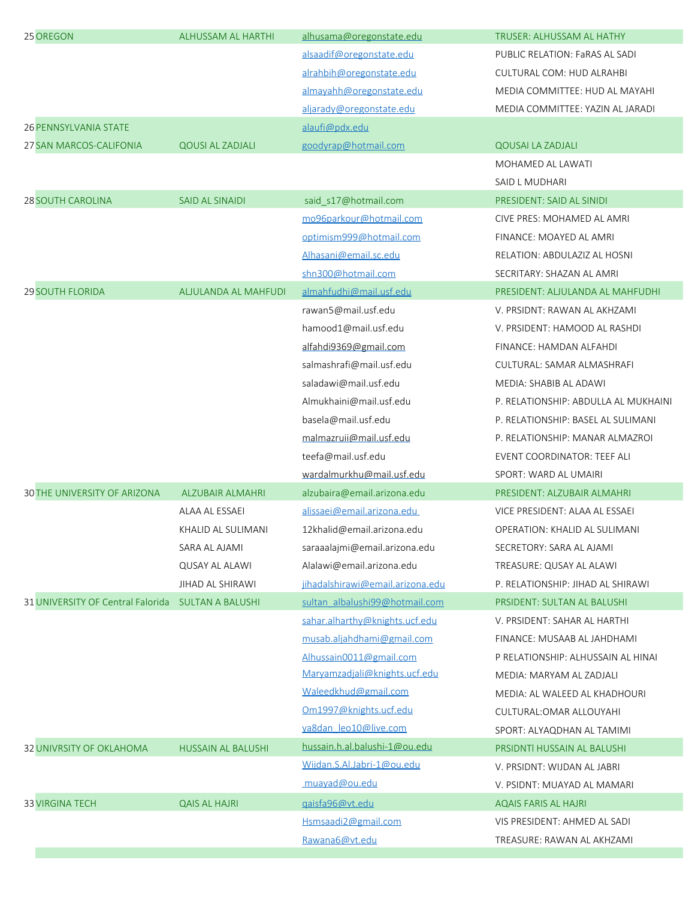| 25 OREGON                         | <b>ALHUSSAM AL HARTHI</b> | alhusama@oregonstate.edu         | TRUSER: ALHUSSAM AL HATHY            |
|-----------------------------------|---------------------------|----------------------------------|--------------------------------------|
|                                   |                           | alsaadif@oregonstate.edu         | PUBLIC RELATION: FaRAS AL SADI       |
|                                   |                           | alrahbih@oregonstate.edu         | CULTURAL COM: HUD ALRAHBI            |
|                                   |                           | almayahh@oregonstate.edu         | MEDIA COMMITTEE: HUD AL MAYAHI       |
|                                   |                           | aljarady@oregonstate.edu         | MEDIA COMMITTEE: YAZIN AL JARADI     |
| <b>26 PENNSYLVANIA STATE</b>      |                           | alaufi@pdx.edu                   |                                      |
| 27 SAN MARCOS-CALIFONIA           | <b>QOUSI AL ZADJALI</b>   | goodyrap@hotmail.com             | <b>QOUSAI LA ZADJALI</b>             |
|                                   |                           |                                  | MOHAMED AL LAWATI                    |
|                                   |                           |                                  | SAID L MUDHARI                       |
| <b>28 SOUTH CAROLINA</b>          | <b>SAID AL SINAIDI</b>    | said_s17@hotmail.com             | PRESIDENT: SAID AL SINIDI            |
|                                   |                           | mo96parkour@hotmail.com          | CIVE PRES: MOHAMED AL AMRI           |
|                                   |                           | optimism999@hotmail.com          | FINANCE: MOAYED AL AMRI              |
|                                   |                           | Alhasani@email.sc.edu            | RELATION: ABDULAZIZ AL HOSNI         |
|                                   |                           | shn300@hotmail.com               | SECRITARY: SHAZAN AL AMRI            |
| <b>29 SOUTH FLORIDA</b>           | ALJULANDA AL MAHFUDI      | almahfudhi@mail.usf.edu          | PRESIDENT: ALJULANDA AL MAHFUDHI     |
|                                   |                           | rawan5@mail.usf.edu              | V. PRSIDNT: RAWAN AL AKHZAMI         |
|                                   |                           | hamood1@mail.usf.edu             | V. PRSIDENT: HAMOOD AL RASHDI        |
|                                   |                           | alfahdi9369@gmail.com            | FINANCE: HAMDAN ALFAHDI              |
|                                   |                           | salmashrafi@mail.usf.edu         | CULTURAL: SAMAR ALMASHRAFI           |
|                                   |                           | saladawi@mail.usf.edu            | MEDIA: SHABIB AL ADAWI               |
|                                   |                           | Almukhaini@mail.usf.edu          | P. RELATIONSHIP: ABDULLA AL MUKHAINI |
|                                   |                           | basela@mail.usf.edu              | P. RELATIONSHIP: BASEL AL SULIMANI   |
|                                   |                           | malmazruii@mail.usf.edu          | P. RELATIONSHIP: MANAR ALMAZROI      |
|                                   |                           | teefa@mail.usf.edu               | EVENT COORDINATOR: TEEF ALI          |
|                                   |                           | wardalmurkhu@mail.usf.edu        | SPORT: WARD AL UMAIRI                |
| 30 THE UNIVERSITY OF ARIZONA      | <b>ALZUBAIR ALMAHRI</b>   | alzubaira@email.arizona.edu      | PRESIDENT: ALZUBAIR ALMAHRI          |
|                                   | ALAA AL ESSAEI            | alissaei@email.arizona.edu       | VICE PRESIDENT: ALAA AL ESSAEI       |
|                                   | KHALID AL SULIMANI        | 12khalid@email.arizona.edu       | OPERATION: KHALID AL SULIMANI        |
|                                   | SARA AL AJAMI             | saraaalajmi@email.arizona.edu    | SECRETORY: SARA AL AJAMI             |
|                                   | <b>QUSAY AL ALAWI</b>     | Alalawi@email.arizona.edu        | TREASURE: QUSAY AL ALAWI             |
|                                   | JIHAD AL SHIRAWI          | jihadalshirawi@email.arizona.edu | P. RELATIONSHIP: JIHAD AL SHIRAWI    |
| 31 UNIVERSITY OF Central Falorida | <b>SULTAN A BALUSHI</b>   | sultan albalushi99@hotmail.com   | PRSIDENT: SULTAN AL BALUSHI          |
|                                   |                           | sahar.alharthy@knights.ucf.edu   | V. PRSIDENT: SAHAR AL HARTHI         |
|                                   |                           | musab.aljahdhami@gmail.com       | FINANCE: MUSAAB AL JAHDHAMI          |
|                                   |                           | Alhussain0011@gmail.com          | P RELATIONSHIP: ALHUSSAIN AL HINAI   |
|                                   |                           | Maryamzadjali@knights.ucf.edu    | MEDIA: MARYAM AL ZADJALI             |
|                                   |                           | Waleedkhud@gmail.com             | MEDIA: AL WALEED AL KHADHOURI        |
|                                   |                           | Om1997@knights.ucf.edu           | CULTURAL: OMAR ALLOUYAHI             |
|                                   |                           | ya8dan leo10@live.com            | SPORT: ALYAQDHAN AL TAMIMI           |
| 32 UNIVRSITY OF OKLAHOMA          | <b>HUSSAIN AL BALUSHI</b> | hussain.h.al.balushi-1@ou.edu    | PRSIDNTI HUSSAIN AL BALUSHI          |
|                                   |                           | Wijdan.S.Al.Jabri-1@ou.edu       | V. PRSIDNT: WIJDAN AL JABRI          |
|                                   |                           | muayad@ou.edu                    | V. PSIDNT: MUAYAD AL MAMARI          |
| <b>33 VIRGINA TECH</b>            | <b>QAIS AL HAJRI</b>      | gaisfa96@vt.edu                  | <b>AQAIS FARIS AL HAJRI</b>          |
|                                   |                           | Hsmsaadi2@gmail.com              | VIS PRESIDENT: AHMED AL SADI         |
|                                   |                           | Rawana6@vt.edu                   | TREASURE: RAWAN AL AKHZAMI           |